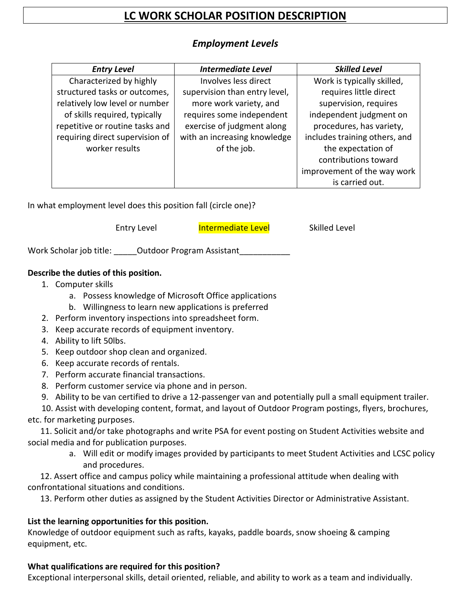# **LC WORK SCHOLAR POSITION DESCRIPTION**

# *Employment Levels*

| <b>Entry Level</b>              | <b>Intermediate Level</b>     | <b>Skilled Level</b>          |
|---------------------------------|-------------------------------|-------------------------------|
| Characterized by highly         | Involves less direct          | Work is typically skilled,    |
| structured tasks or outcomes,   | supervision than entry level, | requires little direct        |
| relatively low level or number  | more work variety, and        | supervision, requires         |
| of skills required, typically   | requires some independent     | independent judgment on       |
| repetitive or routine tasks and | exercise of judgment along    | procedures, has variety,      |
| requiring direct supervision of | with an increasing knowledge  | includes training others, and |
| worker results                  | of the job.                   | the expectation of            |
|                                 |                               | contributions toward          |
|                                 |                               | improvement of the way work   |
|                                 |                               | is carried out.               |

In what employment level does this position fall (circle one)?

Entry Level **Intermediate Level** 

Skilled Level

Work Scholar job title: \_\_\_\_\_\_ Outdoor Program Assistant\_\_

### **Describe the duties of this position.**

- 1. Computer skills
	- a. Possess knowledge of Microsoft Office applications
	- b. Willingness to learn new applications is preferred
- 2. Perform inventory inspections into spreadsheet form.
- 3. Keep accurate records of equipment inventory.
- 4. Ability to lift 50lbs.
- 5. Keep outdoor shop clean and organized.
- 6. Keep accurate records of rentals.
- 7. Perform accurate financial transactions.
- 8. Perform customer service via phone and in person.
- 9. Ability to be van certified to drive a 12-passenger van and potentially pull a small equipment trailer.

10. Assist with developing content, format, and layout of Outdoor Program postings, flyers, brochures, etc. for marketing purposes.

11. Solicit and/or take photographs and write PSA for event posting on Student Activities website and social media and for publication purposes.

> a. Will edit or modify images provided by participants to meet Student Activities and LCSC policy and procedures.

12. Assert office and campus policy while maintaining a professional attitude when dealing with confrontational situations and conditions.

13. Perform other duties as assigned by the Student Activities Director or Administrative Assistant.

## **List the learning opportunities for this position.**

Knowledge of outdoor equipment such as rafts, kayaks, paddle boards, snow shoeing & camping equipment, etc.

### **What qualifications are required for this position?**

Exceptional interpersonal skills, detail oriented, reliable, and ability to work as a team and individually.